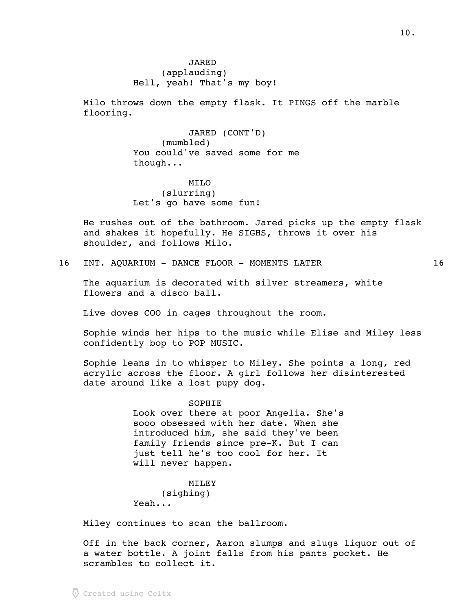JARED (applauding) Hell, yeah! That's my boy!

Milo throws down the empty flask. It PINGS off the marble flooring.

> JARED (CONT'D) (mumbled) You could've saved some for me though...

MILO (slurring) Let's go have some fun!

He rushes out of the bathroom. Jared picks up the empty flask and shakes it hopefully. He SIGHS, throws it over his shoulder, and follows Milo.

16 INT. AQUARIUM - DANCE FLOOR - MOMENTS LATER 16

The aquarium is decorated with silver streamers, white flowers and a disco ball.

Live doves COO in cages throughout the room.

Sophie winds her hips to the music while Elise and Miley less confidently bop to POP MUSIC.

Sophie leans in to whisper to Miley. She points a long, red acrylic across the floor. A girl follows her disinterested date around like a lost pupy dog.

SOPHIE

Look over there at poor Angelia. She's sooo obsessed with her date. When she introduced him, she said they've been family friends since pre-K. But I can just tell he's too cool for her. It will never happen.

MILEY (sighing) Yeah...

Miley continues to scan the ballroom.

Off in the back corner, Aaron slumps and slugs liquor out of a water bottle. A joint falls from his pants pocket. He scrambles to collect it.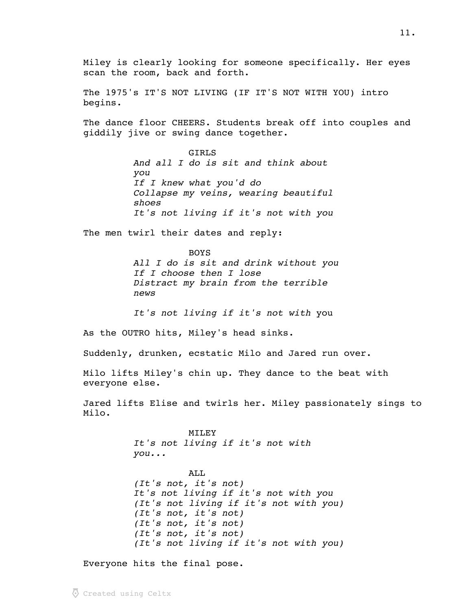Miley is clearly looking for someone specifically. Her eyes scan the room, back and forth. The 1975's IT'S NOT LIVING (IF IT'S NOT WITH YOU) intro begins. The dance floor CHEERS. Students break off into couples and giddily jive or swing dance together. GIRLS *And all I do is sit and think about you If I knew what you'd do Collapse my veins, wearing beautiful shoes It's not living if it's not with you* The men twirl their dates and reply: BOYS *All I do is sit and drink without you If I choose then I lose Distract my brain from the terrible news* It's not living if it's not with you As the OUTRO hits, Miley's head sinks. Suddenly, drunken, ecstatic Milo and Jared run over. Milo lifts Miley's chin up. They dance to the beat with everyone else. Jared lifts Elise and twirls her. Miley passionately sings to Milo. MILEY *It's not living if it's not with you...* ALL *(It's not, it's not) It's not living if it's not with you (It's not living if it's not with you) (It's not, it's not) (It's not, it's not) (It's not, it's not) (It's not living if it's not with you)*

Everyone hits the final pose.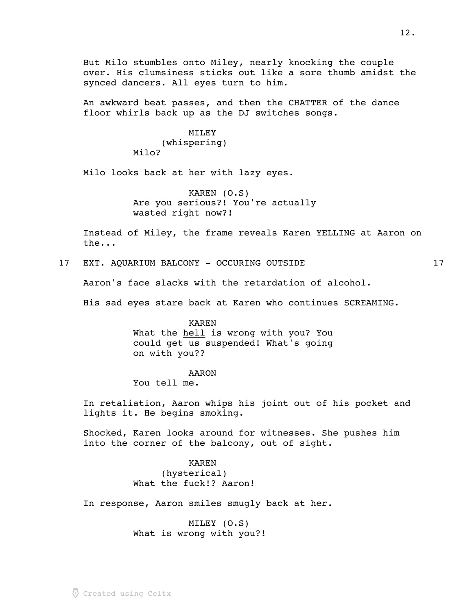But Milo stumbles onto Miley, nearly knocking the couple over. His clumsiness sticks out like a sore thumb amidst the synced dancers. All eyes turn to him.

An awkward beat passes, and then the CHATTER of the dance floor whirls back up as the DJ switches songs.

# MILEY

(whispering) Milo?

Milo looks back at her with lazy eyes.

KAREN (O.S) Are you serious?! You're actually wasted right now?!

Instead of Miley, the frame reveals Karen YELLING at Aaron on the...

17 EXT. AQUARIUM BALCONY - OCCURING OUTSIDE 17

Aaron's face slacks with the retardation of alcohol.

His sad eyes stare back at Karen who continues SCREAMING.

# KAREN

What the hell is wrong with you? You could get us suspended! What's going on with you??

## AARON

You tell me.

In retaliation, Aaron whips his joint out of his pocket and lights it. He begins smoking.

Shocked, Karen looks around for witnesses. She pushes him into the corner of the balcony, out of sight.

### KAREN (hysterical) What the fuck!? Aaron!

In response, Aaron smiles smugly back at her.

MILEY (O.S) What is wrong with you?!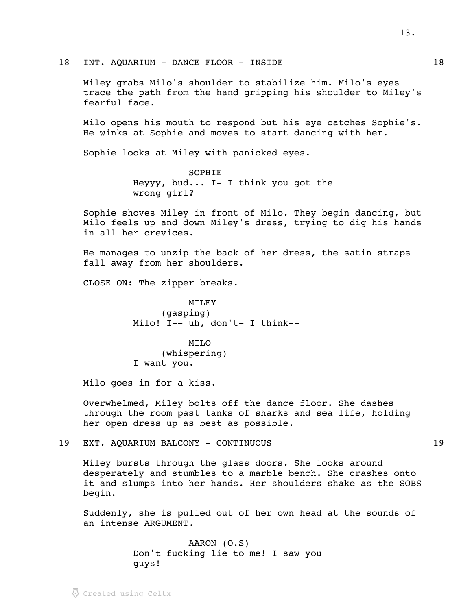18 INT. AQUARIUM - DANCE FLOOR - INSIDE 18

Miley grabs Milo's shoulder to stabilize him. Milo's eyes trace the path from the hand gripping his shoulder to Miley's fearful face.

Milo opens his mouth to respond but his eye catches Sophie's. He winks at Sophie and moves to start dancing with her.

Sophie looks at Miley with panicked eyes.

SOPHIE Heyyy, bud... I- I think you got the wrong girl?

Sophie shoves Miley in front of Milo. They begin dancing, but Milo feels up and down Miley's dress, trying to dig his hands in all her crevices.

He manages to unzip the back of her dress, the satin straps fall away from her shoulders.

CLOSE ON: The zipper breaks.

MTT.EY (gasping) Milo! I-- uh, don't- I think--

MILO (whispering) I want you.

Milo goes in for a kiss.

Overwhelmed, Miley bolts off the dance floor. She dashes through the room past tanks of sharks and sea life, holding her open dress up as best as possible.

19 EXT. AQUARIUM BALCONY - CONTINUOUS 19

Miley bursts through the glass doors. She looks around desperately and stumbles to a marble bench. She crashes onto it and slumps into her hands. Her shoulders shake as the SOBS begin.

Suddenly, she is pulled out of her own head at the sounds of an intense ARGUMENT.

> AARON (O.S) Don't fucking lie to me! I saw you guys!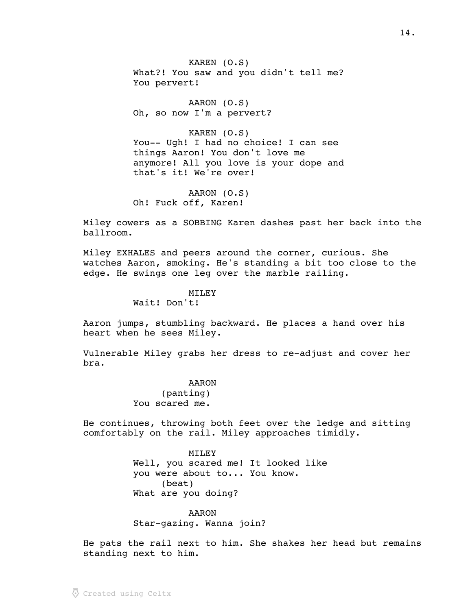KAREN (O.S) What?! You saw and you didn't tell me? You pervert!

AARON (O.S) Oh, so now I'm a pervert?

KAREN (O.S) You-- Ugh! I had no choice! I can see things Aaron! You don't love me anymore! All you love is your dope and that's it! We're over!

AARON (O.S) Oh! Fuck off, Karen!

Miley cowers as a SOBBING Karen dashes past her back into the ballroom.

Miley EXHALES and peers around the corner, curious. She watches Aaron, smoking. He's standing a bit too close to the edge. He swings one leg over the marble railing.

### MILEY

Wait! Don't!

Aaron jumps, stumbling backward. He places a hand over his heart when he sees Miley.

Vulnerable Miley grabs her dress to re-adjust and cover her bra.

> AARON (panting) You scared me.

He continues, throwing both feet over the ledge and sitting comfortably on the rail. Miley approaches timidly.

MILEY

Well, you scared me! It looked like you were about to... You know. (beat) What are you doing?

AARON Star-gazing. Wanna join?

He pats the rail next to him. She shakes her head but remains standing next to him.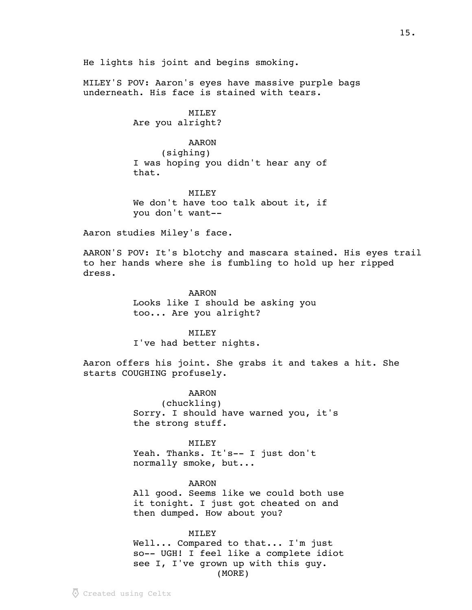He lights his joint and begins smoking.

MILEY'S POV: Aaron's eyes have massive purple bags underneath. His face is stained with tears.

> MTT.EY Are you alright?

AARON (sighing) I was hoping you didn't hear any of that.

MILEY We don't have too talk about it, if you don't want--

Aaron studies Miley's face.

AARON'S POV: It's blotchy and mascara stained. His eyes trail to her hands where she is fumbling to hold up her ripped dress.

> AARON Looks like I should be asking you too... Are you alright?

MILEY I've had better nights.

Aaron offers his joint. She grabs it and takes a hit. She starts COUGHING profusely.

> AARON (chuckling) Sorry. I should have warned you, it's the strong stuff.

MILEY Yeah. Thanks. It's-- I just don't normally smoke, but...

AARON All good. Seems like we could both use

it tonight. I just got cheated on and then dumped. How about you?

MILEY

Well... Compared to that... I'm just so-- UGH! I feel like a complete idiot see I, I've grown up with this guy. (MORE)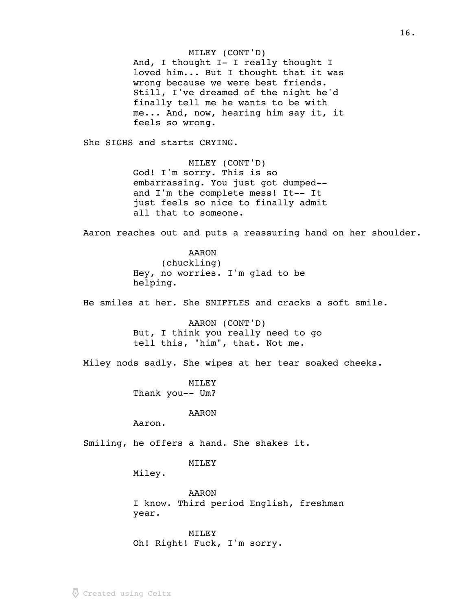### MILEY (CONT'D)

And, I thought I- I really thought I loved him... But I thought that it was wrong because we were best friends. Still, I've dreamed of the night he'd finally tell me he wants to be with me... And, now, hearing him say it, it feels so wrong.

She SIGHS and starts CRYING.

MILEY (CONT'D) God! I'm sorry. This is so embarrassing. You just got dumped- and I'm the complete mess! It-- It just feels so nice to finally admit all that to someone.

Aaron reaches out and puts a reassuring hand on her shoulder.

AARON (chuckling) Hey, no worries. I'm glad to be helping.

He smiles at her. She SNIFFLES and cracks a soft smile.

AARON (CONT'D) But, I think you really need to go tell this, "him", that. Not me.

Miley nods sadly. She wipes at her tear soaked cheeks.

MILEY Thank you-- Um?

AARON

Aaron.

Smiling, he offers a hand. She shakes it.

# MILEY

Miley.

AARON I know. Third period English, freshman year.

MILEY Oh! Right! Fuck, I'm sorry.